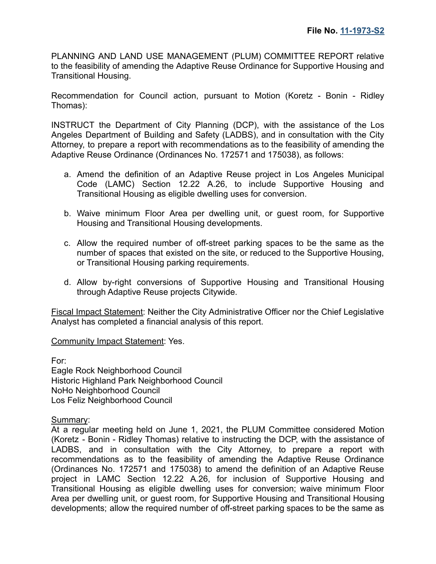PLANNING AND LAND USE MANAGEMENT (PLUM) COMMITTEE REPORT relative to the feasibility of amending the Adaptive Reuse Ordinance for Supportive Housing and Transitional Housing.

Recommendation for Council action, pursuant to Motion (Koretz - Bonin - Ridley Thomas):

INSTRUCT the Department of City Planning (DCP), with the assistance of the Los Angeles Department of Building and Safety (LADBS), and in consultation with the City Attorney, to prepare a report with recommendations as to the feasibility of amending the Adaptive Reuse Ordinance (Ordinances No. 172571 and 175038), as follows:

- a. Amend the definition of an Adaptive Reuse project in Los Angeles Municipal Code (LAMC) Section 12.22 A.26, to include Supportive Housing and Transitional Housing as eligible dwelling uses for conversion.
- b. Waive minimum Floor Area per dwelling unit, or guest room, for Supportive Housing and Transitional Housing developments.
- c. Allow the required number of off-street parking spaces to be the same as the number of spaces that existed on the site, or reduced to the Supportive Housing, or Transitional Housing parking requirements.
- d. Allow by-right conversions of Supportive Housing and Transitional Housing through Adaptive Reuse projects Citywide.

Fiscal Impact Statement: Neither the City Administrative Officer nor the Chief Legislative Analyst has completed a financial analysis of this report.

Community Impact Statement: Yes.

For: Eagle Rock Neighborhood Council Historic Highland Park Neighborhood Council NoHo Neighborhood Council Los Feliz Neighborhood Council

Summary:

At a regular meeting held on June 1, 2021, the PLUM Committee considered Motion (Koretz - Bonin - Ridley Thomas) relative to instructing the DCP, with the assistance of LADBS, and in consultation with the City Attorney, to prepare a report with recommendations as to the feasibility of amending the Adaptive Reuse Ordinance (Ordinances No. 172571 and 175038) to amend the definition of an Adaptive Reuse project in LAMC Section 12.22 A.26, for inclusion of Supportive Housing and Transitional Housing as eligible dwelling uses for conversion; waive minimum Floor Area per dwelling unit, or guest room, for Supportive Housing and Transitional Housing developments; allow the required number of off-street parking spaces to be the same as